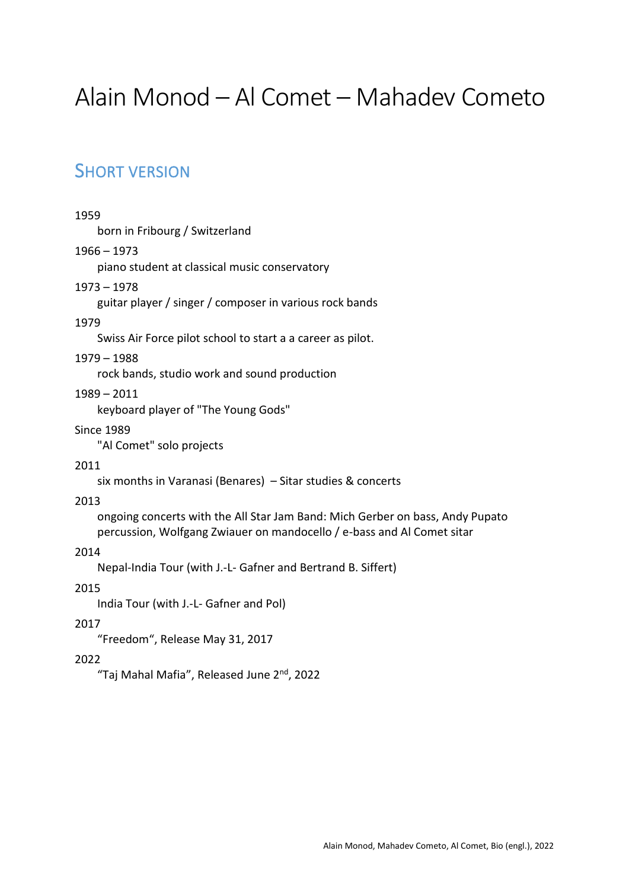# Alain Monod – Al Comet – Mahadev Cometo

# SHORT VERSION

# 1959

born in Fribourg / Switzerland

# 1966 – 1973

piano student at classical music conservatory

# 1973 – 1978

guitar player / singer / composer in various rock bands

#### 1979

Swiss Air Force pilot school to start a a career as pilot.

#### 1979 – 1988

rock bands, studio work and sound production

# 1989 – 2011

keyboard player of "The Young Gods"

#### Since 1989

"Al Comet" solo projects

# 2011

six months in Varanasi (Benares) – Sitar studies & concerts

# 2013

ongoing concerts with the All Star Jam Band: Mich Gerber on bass, Andy Pupato percussion, Wolfgang Zwiauer on mandocello / e-bass and Al Comet sitar

# 2014

Nepal-India Tour (with J.-L- Gafner and Bertrand B. Siffert)

# 2015

India Tour (with J.-L- Gafner and Pol)

# 2017

"Freedom", Release May 31, 2017

# 2022

"Taj Mahal Mafia", Released June 2<sup>nd</sup>, 2022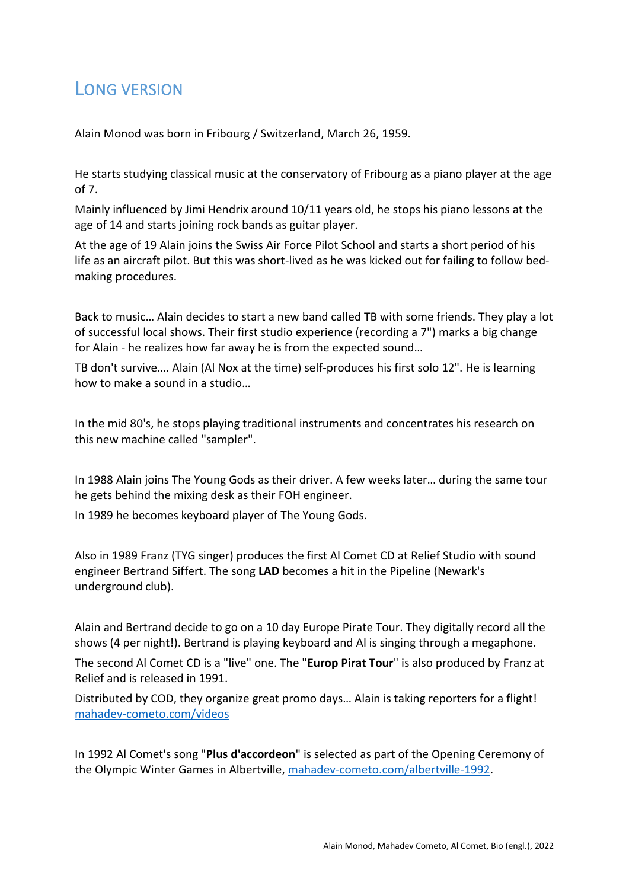# **LONG VERSION**

Alain Monod was born in Fribourg / Switzerland, March 26, 1959.

He starts studying classical music at the conservatory of Fribourg as a piano player at the age of 7.

Mainly influenced by Jimi Hendrix around 10/11 years old, he stops his piano lessons at the age of 14 and starts joining rock bands as guitar player.

At the age of 19 Alain joins the Swiss Air Force Pilot School and starts a short period of his life as an aircraft pilot. But this was short-lived as he was kicked out for failing to follow bedmaking procedures.

Back to music… Alain decides to start a new band called TB with some friends. They play a lot of successful local shows. Their first studio experience (recording a 7") marks a big change for Alain - he realizes how far away he is from the expected sound…

TB don't survive…. Alain (Al Nox at the time) self-produces his first solo 12". He is learning how to make a sound in a studio…

In the mid 80's, he stops playing traditional instruments and concentrates his research on this new machine called "sampler".

In 1988 Alain joins The Young Gods as their driver. A few weeks later… during the same tour he gets behind the mixing desk as their FOH engineer.

In 1989 he becomes keyboard player of The Young Gods.

Also in 1989 Franz (TYG singer) produces the first Al Comet CD at Relief Studio with sound engineer Bertrand Siffert. The song **LAD** becomes a hit in the Pipeline (Newark's underground club).

Alain and Bertrand decide to go on a 10 day Europe Pirate Tour. They digitally record all the shows (4 per night!). Bertrand is playing keyboard and Al is singing through a megaphone.

The second Al Comet CD is a "live" one. The "**Europ Pirat Tour**" is also produced by Franz at Relief and is released in 1991.

Distributed by COD, they organize great promo days… Alain is taking reporters for a flight! [mahadev-cometo.com/videos](http://mahadev-cometo.com/gallery/videos/other-videos/#mtvinterview)

In 1992 Al Comet's song "**Plus d'accordeon**" is selected as part of the Opening Ceremony of the Olympic Winter Games in Albertville[, mahadev-cometo.com/albertville-1992.](http://mahadev-cometo.com/albertville-1992-winter-olympics/)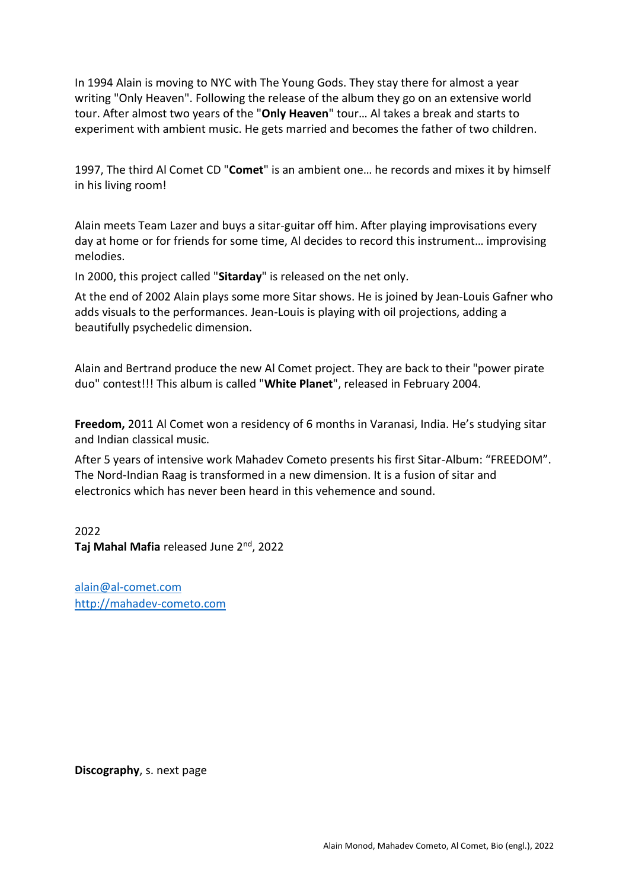In 1994 Alain is moving to NYC with The Young Gods. They stay there for almost a year writing "Only Heaven". Following the release of the album they go on an extensive world tour. After almost two years of the "**Only Heaven**" tour… Al takes a break and starts to experiment with ambient music. He gets married and becomes the father of two children.

1997, The third Al Comet CD "**Comet**" is an ambient one… he records and mixes it by himself in his living room!

Alain meets Team Lazer and buys a sitar-guitar off him. After playing improvisations every day at home or for friends for some time, Al decides to record this instrument… improvising melodies.

In 2000, this project called "**Sitarday**" is released on the net only.

At the end of 2002 Alain plays some more Sitar shows. He is joined by Jean-Louis Gafner who adds visuals to the performances. Jean-Louis is playing with oil projections, adding a beautifully psychedelic dimension.

Alain and Bertrand produce the new Al Comet project. They are back to their "power pirate duo" contest!!! This album is called "**White Planet**", released in February 2004.

**Freedom,** 2011 Al Comet won a residency of 6 months in Varanasi, India. He's studying sitar and Indian classical music.

After 5 years of intensive work Mahadev Cometo presents his first Sitar-Album: "FREEDOM". The Nord-Indian Raag is transformed in a new dimension. It is a fusion of sitar and electronics which has never been heard in this vehemence and sound.

2022 **Taj Mahal Mafia** released June 2nd , 2022

[alain@al-comet.com](mailto:alain@al-comet.com) [http://mahadev-cometo.com](http://mahadev-cometo.com/)

**Discography**, s. next page